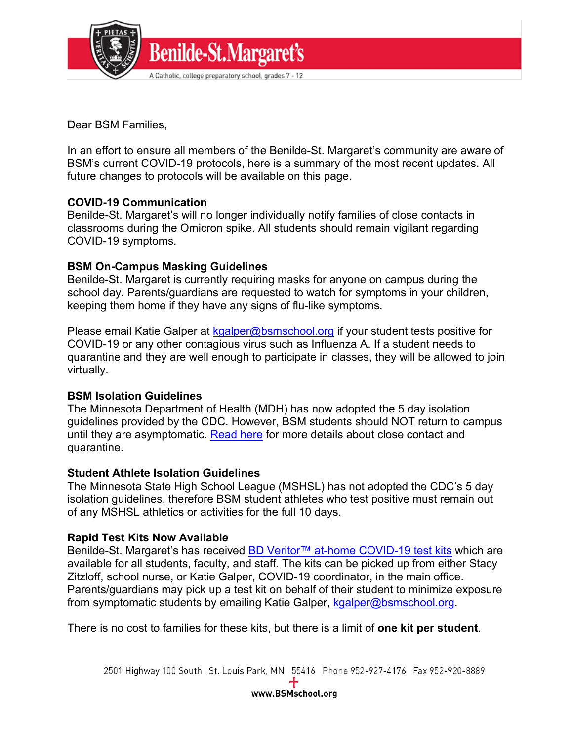

Dear BSM Families,

In an effort to ensure all members of the Benilde-St. Margaret's community are aware of BSM's current COVID-19 protocols, here is a summary of the most recent updates. All future changes to protocols will be available on this page.

# **COVID-19 Communication**

Benilde-St. Margaret's will no longer individually notify families of close contacts in classrooms during the Omicron spike. All students should remain vigilant regarding COVID-19 symptoms.

### **BSM On-Campus Masking Guidelines**

Benilde-St. Margaret is currently requiring masks for anyone on campus during the school day. Parents/guardians are requested to watch for symptoms in your children, keeping them home if they have any signs of flu-like symptoms.

Please email Katie Galper at [kgalper@bsmschool.org](mailto:kgalper@bsmschool.org) if your student tests positive for COVID-19 or any other contagious virus such as Influenza A. If a student needs to quarantine and they are well enough to participate in classes, they will be allowed to join virtually.

# **BSM Isolation Guidelines**

The Minnesota Department of Health (MDH) has now adopted the 5 day isolation guidelines provided by the CDC. However, BSM students should NOT return to campus until they are asymptomatic. [Read here](https://www.health.state.mn.us/diseases/coronavirus/close.html) for more details about close contact and quarantine.

### **Student Athlete Isolation Guidelines**

The Minnesota State High School League (MSHSL) has not adopted the CDC's 5 day isolation guidelines, therefore BSM student athletes who test positive must remain out of any MSHSL athletics or activities for the full 10 days.

# **Rapid Test Kits Now Available**

Benilde-St. Margaret's has received [BD Veritor™ at-home COVID-19 test kits](https://www.fda.gov/media/151761/download) which are available for all students, faculty, and staff. The kits can be picked up from either Stacy Zitzloff, school nurse, or Katie Galper, COVID-19 coordinator, in the main office. Parents/guardians may pick up a test kit on behalf of their student to minimize exposure from symptomatic students by emailing Katie Galper, [kgalper@bsmschool.org.](mailto:kgalper@bsmschool.org)

There is no cost to families for these kits, but there is a limit of **one kit per student**.